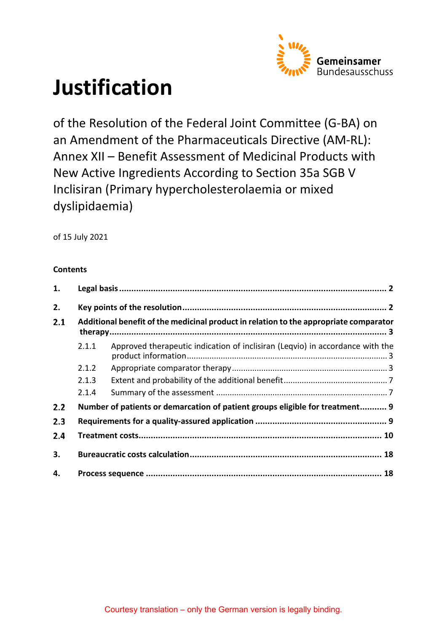

# **Justification**

of the Resolution of the Federal Joint Committee (G-BA) on an Amendment of the Pharmaceuticals Directive (AM-RL): Annex XII – Benefit Assessment of Medicinal Products with New Active Ingredients According to Section 35a SGB V Inclisiran (Primary hypercholesterolaemia or mixed dyslipidaemia)

of 15 July 2021

### **Contents**

| 1.  |                                                                                       |                                                                               |  |  |  |  |
|-----|---------------------------------------------------------------------------------------|-------------------------------------------------------------------------------|--|--|--|--|
| 2.  |                                                                                       |                                                                               |  |  |  |  |
| 2.1 | Additional benefit of the medicinal product in relation to the appropriate comparator |                                                                               |  |  |  |  |
|     | 2.1.1                                                                                 | Approved therapeutic indication of inclisiran (Leqvio) in accordance with the |  |  |  |  |
|     | 2.1.2                                                                                 |                                                                               |  |  |  |  |
|     | 2.1.3                                                                                 |                                                                               |  |  |  |  |
|     | 2.1.4                                                                                 |                                                                               |  |  |  |  |
| 2.2 |                                                                                       | Number of patients or demarcation of patient groups eligible for treatment 9  |  |  |  |  |
| 2.3 |                                                                                       |                                                                               |  |  |  |  |
| 2.4 |                                                                                       |                                                                               |  |  |  |  |
| 3.  |                                                                                       |                                                                               |  |  |  |  |
| 4.  |                                                                                       |                                                                               |  |  |  |  |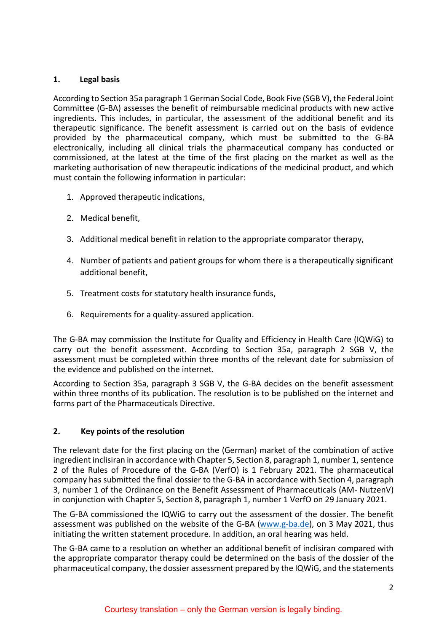### <span id="page-1-0"></span>**1. Legal basis**

According to Section 35a paragraph 1 German Social Code, Book Five (SGB V), the Federal Joint Committee (G-BA) assesses the benefit of reimbursable medicinal products with new active ingredients. This includes, in particular, the assessment of the additional benefit and its therapeutic significance. The benefit assessment is carried out on the basis of evidence provided by the pharmaceutical company, which must be submitted to the G-BA electronically, including all clinical trials the pharmaceutical company has conducted or commissioned, at the latest at the time of the first placing on the market as well as the marketing authorisation of new therapeutic indications of the medicinal product, and which must contain the following information in particular:

- 1. Approved therapeutic indications,
- 2. Medical benefit,
- 3. Additional medical benefit in relation to the appropriate comparator therapy,
- 4. Number of patients and patient groups for whom there is a therapeutically significant additional benefit,
- 5. Treatment costs for statutory health insurance funds,
- 6. Requirements for a quality-assured application.

The G-BA may commission the Institute for Quality and Efficiency in Health Care (IQWiG) to carry out the benefit assessment. According to Section 35a, paragraph 2 SGB V, the assessment must be completed within three months of the relevant date for submission of the evidence and published on the internet.

According to Section 35a, paragraph 3 SGB V, the G-BA decides on the benefit assessment within three months of its publication. The resolution is to be published on the internet and forms part of the Pharmaceuticals Directive.

### <span id="page-1-1"></span>**2. Key points of the resolution**

The relevant date for the first placing on the (German) market of the combination of active ingredient inclisiran in accordance with Chapter 5, Section 8, paragraph 1, number 1, sentence 2 of the Rules of Procedure of the G-BA (VerfO) is 1 February 2021. The pharmaceutical company has submitted the final dossier to the G-BA in accordance with Section 4, paragraph 3, number 1 of the Ordinance on the Benefit Assessment of Pharmaceuticals (AM- NutzenV) in conjunction with Chapter 5, Section 8, paragraph 1, number 1 VerfO on 29 January 2021.

The G-BA commissioned the IQWiG to carry out the assessment of the dossier. The benefit assessment was published on the website of the G-BA [\(www.g-ba.de\)](http://www.g-ba.de/), on 3 May 2021, thus initiating the written statement procedure. In addition, an oral hearing was held.

The G-BA came to a resolution on whether an additional benefit of inclisiran compared with the appropriate comparator therapy could be determined on the basis of the dossier of the pharmaceutical company, the dossier assessment prepared by the IQWiG, and the statements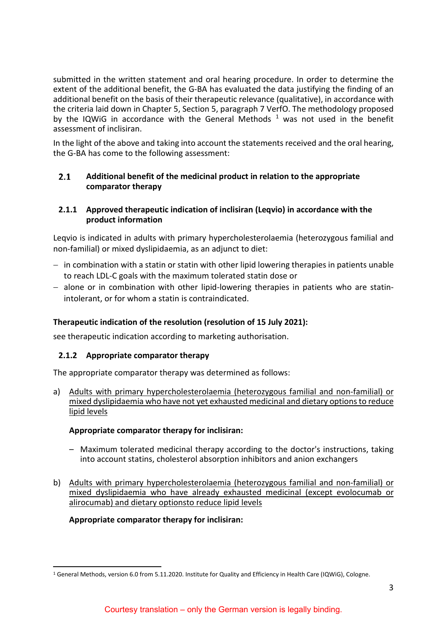submitted in the written statement and oral hearing procedure. In order to determine the extent of the additional benefit, the G-BA has evaluated the data justifying the finding of an additional benefit on the basis of their therapeutic relevance (qualitative), in accordance with the criteria laid down in Chapter 5, Section 5, paragraph 7 VerfO. The methodology proposed by the IQWiG in accordance with the General Methods  $<sup>1</sup>$  $<sup>1</sup>$  $<sup>1</sup>$  was not used in the benefit</sup> assessment of inclisiran.

In the light of the above and taking into account the statements received and the oral hearing, the G-BA has come to the following assessment:

#### <span id="page-2-0"></span> $2.1$ **Additional benefit of the medicinal product in relation to the appropriate comparator therapy**

### <span id="page-2-1"></span>**2.1.1 Approved therapeutic indication of inclisiran (Leqvio) in accordance with the product information**

Leqvio is indicated in adults with primary hypercholesterolaemia (heterozygous familial and non-familial) or mixed dyslipidaemia, as an adjunct to diet:

- − in combination with a statin or statin with other lipid lowering therapies in patients unable to reach LDL-C goals with the maximum tolerated statin dose or
- − alone or in combination with other lipid-lowering therapies in patients who are statinintolerant, or for whom a statin is contraindicated.

# **Therapeutic indication of the resolution (resolution of 15 July 2021):**

<span id="page-2-2"></span>see therapeutic indication according to marketing authorisation.

### **2.1.2 Appropriate comparator therapy**

The appropriate comparator therapy was determined as follows:

a) Adults with primary hypercholesterolaemia (heterozygous familial and non-familial) or mixed dyslipidaemia who have not yet exhausted medicinal and dietary options to reduce lipid levels

### **Appropriate comparator therapy for inclisiran:**

- Maximum tolerated medicinal therapy according to the doctor's instructions, taking into account statins, cholesterol absorption inhibitors and anion exchangers
- b) Adults with primary hypercholesterolaemia (heterozygous familial and non-familial) or mixed dyslipidaemia who have already exhausted medicinal (except evolocumab or alirocumab) and dietary optionsto reduce lipid levels

### **Appropriate comparator therapy for inclisiran:**

<span id="page-2-3"></span> <sup>1</sup> General Methods, version 6.0 from 5.11.2020. Institute for Quality and Efficiency in Health Care (IQWiG), Cologne.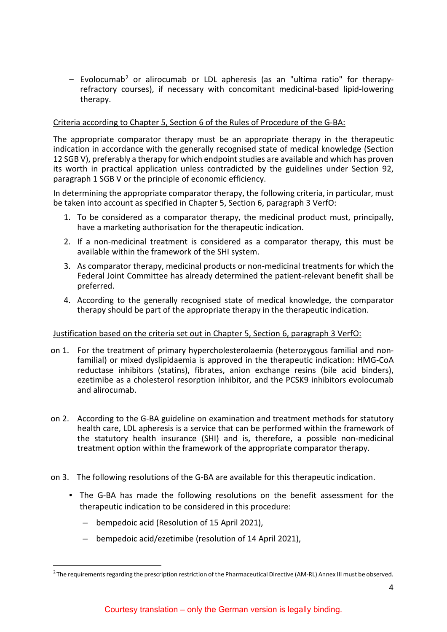<span id="page-3-0"></span> $-$  Evolocumab<sup>[2](#page-3-1)</sup> or alirocuma[b](#page-3-0) or LDL apheresis (as an "ultima ratio" for therapyrefractory courses), if necessary with concomitant medicinal-based lipid-lowering therapy.

### Criteria according to Chapter 5, Section 6 of the Rules of Procedure of the G-BA:

The appropriate comparator therapy must be an appropriate therapy in the therapeutic indication in accordance with the generally recognised state of medical knowledge (Section 12 SGB V), preferably a therapy for which endpoint studies are available and which has proven its worth in practical application unless contradicted by the guidelines under Section 92, paragraph 1 SGB V or the principle of economic efficiency.

In determining the appropriate comparator therapy, the following criteria, in particular, must be taken into account as specified in Chapter 5, Section 6, paragraph 3 VerfO:

- 1. To be considered as a comparator therapy, the medicinal product must, principally, have a marketing authorisation for the therapeutic indication.
- 2. If a non-medicinal treatment is considered as a comparator therapy, this must be available within the framework of the SHI system.
- 3. As comparator therapy, medicinal products or non-medicinal treatments for which the Federal Joint Committee has already determined the patient-relevant benefit shall be preferred.
- 4. According to the generally recognised state of medical knowledge, the comparator therapy should be part of the appropriate therapy in the therapeutic indication.

### Justification based on the criteria set out in Chapter 5, Section 6, paragraph 3 VerfO:

- on 1. For the treatment of primary hypercholesterolaemia (heterozygous familial and nonfamilial) or mixed dyslipidaemia is approved in the therapeutic indication: HMG-CoA reductase inhibitors (statins), fibrates, anion exchange resins (bile acid binders), ezetimibe as a cholesterol resorption inhibitor, and the PCSK9 inhibitors evolocumab and alirocumab.
- on 2. According to the G-BA guideline on examination and treatment methods for statutory health care, LDL apheresis is a service that can be performed within the framework of the statutory health insurance (SHI) and is, therefore, a possible non-medicinal treatment option within the framework of the appropriate comparator therapy.
- on 3. The following resolutions of the G-BA are available for this therapeutic indication.
	- The G-BA has made the following resolutions on the benefit assessment for the therapeutic indication to be considered in this procedure:
		- bempedoic acid (Resolution of 15 April 2021),
		- bempedoic acid/ezetimibe (resolution of 14 April 2021),

<span id="page-3-1"></span><sup>&</sup>lt;sup>2</sup> The requirements regarding the prescription restriction of the Pharmaceutical Directive (AM-RL) Annex III must be observed.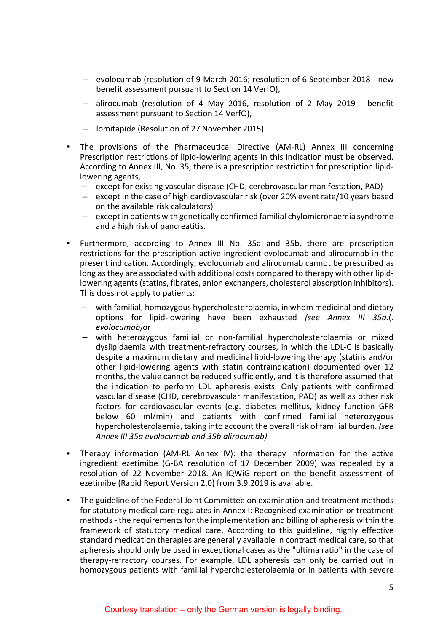- evolocumab (resolution of 9 March 2016; resolution of 6 September 2018 new benefit assessment pursuant to Section 14 VerfO),
- alirocumab (resolution of 4 May 2016, resolution of 2 May 2019 benefit assessment pursuant to Section 14 VerfO),
- lomitapide (Resolution of 27 November 2015).
- The provisions of the Pharmaceutical Directive (AM-RL) Annex III concerning Prescription restrictions of lipid-lowering agents in this indication must be observed. According to Annex III, No. 35, there is a prescription restriction for prescription lipidlowering agents,
	- except for existing vascular disease (CHD, cerebrovascular manifestation, PAD)
	- except in the case of high cardiovascular risk (over 20% event rate/10 years based on the available risk calculators)
	- except in patients with genetically confirmed familial chylomicronaemia syndrome and a high risk of pancreatitis.
- Furthermore, according to Annex III No. 35a and 35b, there are prescription restrictions for the prescription active ingredient evolocumab and alirocumab in the present indication. Accordingly, evolocumab and alirocumab cannot be prescribed as long as they are associated with additional costs compared to therapy with other lipidlowering agents (statins, fibrates, anion exchangers, cholesterol absorption inhibitors). This does not apply to patients:
	- with familial, homozygous hypercholesterolaemia, in whom medicinal and dietary options for lipid-lowering have been exhausted *(see Annex III 35a.*(. *evolocumab)*or
	- with heterozygous familial or non-familial hypercholesterolaemia or mixed dyslipidaemia with treatment-refractory courses, in which the LDL-C is basically despite a maximum dietary and medicinal lipid-lowering therapy (statins and/or other lipid-lowering agents with statin contraindication) documented over 12 months, the value cannot be reduced sufficiently, and it is therefore assumed that the indication to perform LDL apheresis exists. Only patients with confirmed vascular disease (CHD, cerebrovascular manifestation, PAD) as well as other risk factors for cardiovascular events (e.g. diabetes mellitus, kidney function GFR below 60 ml/min) and patients with confirmed familial heterozygous hypercholesterolaemia, taking into account the overall risk of familial burden. *(see Annex III 35a evolocumab and 35b alirocumab).*
- Therapy information (AM-RL Annex IV): the therapy information for the active ingredient ezetimibe (G-BA resolution of 17 December 2009) was repealed by a resolution of 22 November 2018. An IQWiG report on the benefit assessment of ezetimibe (Rapid Report Version 2.0) from 3.9.2019 is available.
- The guideline of the Federal Joint Committee on examination and treatment methods for statutory medical care regulates in Annex I: Recognised examination or treatment methods - the requirements for the implementation and billing of apheresis within the framework of statutory medical care. According to this guideline, highly effective standard medication therapies are generally available in contract medical care, so that apheresis should only be used in exceptional cases as the "ultima ratio" in the case of therapy-refractory courses. For example, LDL apheresis can only be carried out in homozygous patients with familial hypercholesterolaemia or in patients with severe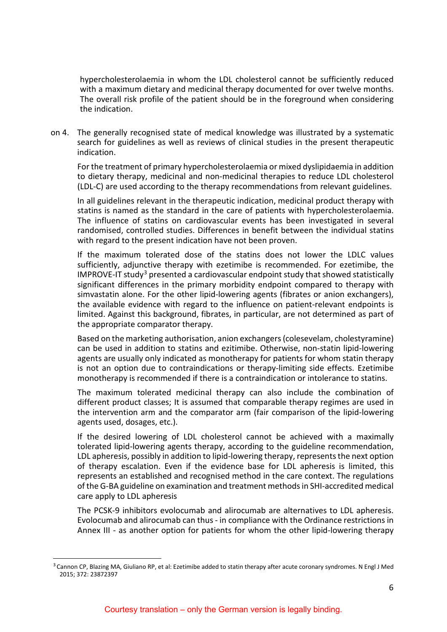hypercholesterolaemia in whom the LDL cholesterol cannot be sufficiently reduced with a maximum dietary and medicinal therapy documented for over twelve months. The overall risk profile of the patient should be in the foreground when considering the indication.

on 4. The generally recognised state of medical knowledge was illustrated by a systematic search for guidelines as well as reviews of clinical studies in the present therapeutic indication.

For the treatment of primary hypercholesterolaemia or mixed dyslipidaemia in addition to dietary therapy, medicinal and non-medicinal therapies to reduce LDL cholesterol (LDL-C) are used according to the therapy recommendations from relevant guidelines.

In all guidelines relevant in the therapeutic indication, medicinal product therapy with statins is named as the standard in the care of patients with hypercholesterolaemia. The influence of statins on cardiovascular events has been investigated in several randomised, controlled studies. Differences in benefit between the individual statins with regard to the present indication have not been proven.

If the maximum tolerated dose of the statins does not lower the LDLC values sufficiently, adjunctive therapy with ezetimibe is recommended. For ezetimibe, the  $IMPROVE-IT study<sup>3</sup> presented a cardiovascular endpoint study that showed statistically$  $IMPROVE-IT study<sup>3</sup> presented a cardiovascular endpoint study that showed statistically$  $IMPROVE-IT study<sup>3</sup> presented a cardiovascular endpoint study that showed statistically$ significant differences in the primary morbidity endpoint compared to therapy with simvastatin alone. For the other lipid-lowering agents (fibrates or anion exchangers), the available evidence with regard to the influence on patient-relevant endpoints is limited. Against this background, fibrates, in particular, are not determined as part of the appropriate comparator therapy.

Based on the marketing authorisation, anion exchangers (colesevelam, cholestyramine) can be used in addition to statins and ezitimibe. Otherwise, non-statin lipid-lowering agents are usually only indicated as monotherapy for patients for whom statin therapy is not an option due to contraindications or therapy-limiting side effects. Ezetimibe monotherapy is recommended if there is a contraindication or intolerance to statins.

The maximum tolerated medicinal therapy can also include the combination of different product classes; It is assumed that comparable therapy regimes are used in the intervention arm and the comparator arm (fair comparison of the lipid-lowering agents used, dosages, etc.).

If the desired lowering of LDL cholesterol cannot be achieved with a maximally tolerated lipid-lowering agents therapy, according to the guideline recommendation, LDL apheresis, possibly in addition to lipid-lowering therapy, represents the next option of therapy escalation. Even if the evidence base for LDL apheresis is limited, this represents an established and recognised method in the care context. The regulations of the G-BA guideline on examination and treatment methods in SHI-accredited medical care apply to LDL apheresis

The PCSK-9 inhibitors evolocumab and alirocumab are alternatives to LDL apheresis. Evolocumab and alirocumab can thus - in compliance with the Ordinance restrictions in Annex III - as another option for patients for whom the other lipid-lowering therapy

<span id="page-5-0"></span><sup>&</sup>lt;sup>3</sup> Cannon CP, Blazing MA, Giuliano RP, et al: Ezetimibe added to statin therapy after acute coronary syndromes. N Engl J Med 2015; 372: 23872397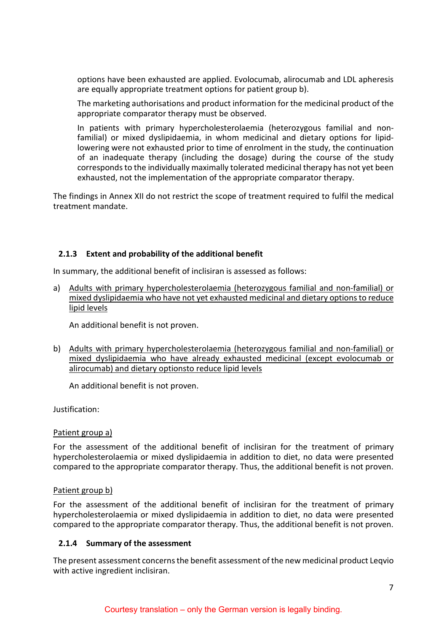options have been exhausted are applied. Evolocumab, alirocumab and LDL apheresis are equally appropriate treatment options for patient group b).

The marketing authorisations and product information for the medicinal product of the appropriate comparator therapy must be observed.

In patients with primary hypercholesterolaemia (heterozygous familial and nonfamilial) or mixed dyslipidaemia, in whom medicinal and dietary options for lipidlowering were not exhausted prior to time of enrolment in the study, the continuation of an inadequate therapy (including the dosage) during the course of the study corresponds to the individually maximally tolerated medicinal therapy has not yet been exhausted, not the implementation of the appropriate comparator therapy.

The findings in Annex XII do not restrict the scope of treatment required to fulfil the medical treatment mandate.

### <span id="page-6-0"></span>**2.1.3 Extent and probability of the additional benefit**

In summary, the additional benefit of inclisiran is assessed as follows:

a) Adults with primary hypercholesterolaemia (heterozygous familial and non-familial) or mixed dyslipidaemia who have not yet exhausted medicinal and dietary options to reduce lipid levels

An additional benefit is not proven.

b) Adults with primary hypercholesterolaemia (heterozygous familial and non-familial) or mixed dyslipidaemia who have already exhausted medicinal (except evolocumab or alirocumab) and dietary optionsto reduce lipid levels

An additional benefit is not proven.

Justification:

### Patient group a)

For the assessment of the additional benefit of inclisiran for the treatment of primary hypercholesterolaemia or mixed dyslipidaemia in addition to diet, no data were presented compared to the appropriate comparator therapy. Thus, the additional benefit is not proven.

### Patient group b)

For the assessment of the additional benefit of inclisiran for the treatment of primary hypercholesterolaemia or mixed dyslipidaemia in addition to diet, no data were presented compared to the appropriate comparator therapy. Thus, the additional benefit is not proven.

### <span id="page-6-1"></span>**2.1.4 Summary of the assessment**

The present assessment concerns the benefit assessment of the new medicinal product Leqvio with active ingredient inclisiran.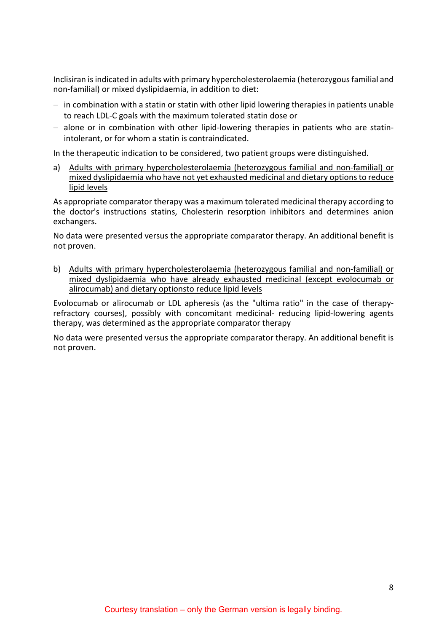Inclisiran is indicated in adults with primary hypercholesterolaemia (heterozygous familial and non-familial) or mixed dyslipidaemia, in addition to diet:

- − in combination with a statin or statin with other lipid lowering therapies in patients unable to reach LDL-C goals with the maximum tolerated statin dose or
- − alone or in combination with other lipid-lowering therapies in patients who are statinintolerant, or for whom a statin is contraindicated.

In the therapeutic indication to be considered, two patient groups were distinguished.

a) Adults with primary hypercholesterolaemia (heterozygous familial and non-familial) or mixed dyslipidaemia who have not yet exhausted medicinal and dietary options to reduce lipid levels

As appropriate comparator therapy was a maximum tolerated medicinal therapy according to the doctor's instructions statins, Cholesterin resorption inhibitors and determines anion exchangers.

No data were presented versus the appropriate comparator therapy. An additional benefit is not proven.

b) Adults with primary hypercholesterolaemia (heterozygous familial and non-familial) or mixed dyslipidaemia who have already exhausted medicinal (except evolocumab or alirocumab) and dietary optionsto reduce lipid levels

Evolocumab or alirocumab or LDL apheresis (as the "ultima ratio" in the case of therapyrefractory courses), possibly with concomitant medicinal- reducing lipid-lowering agents therapy, was determined as the appropriate comparator therapy

No data were presented versus the appropriate comparator therapy. An additional benefit is not proven.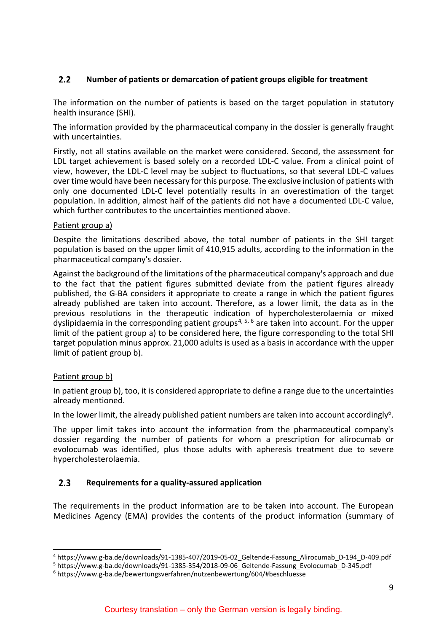#### <span id="page-8-0"></span> $2.2$ **Number of patients or demarcation of patient groups eligible for treatment**

The information on the number of patients is based on the target population in statutory health insurance (SHI).

The information provided by the pharmaceutical company in the dossier is generally fraught with uncertainties.

Firstly, not all statins available on the market were considered. Second, the assessment for LDL target achievement is based solely on a recorded LDL-C value. From a clinical point of view, however, the LDL-C level may be subject to fluctuations, so that several LDL-C values over time would have been necessary for this purpose. The exclusive inclusion of patients with only one documented LDL-C level potentially results in an overestimation of the target population. In addition, almost half of the patients did not have a documented LDL-C value, which further contributes to the uncertainties mentioned above.

### Patient group a)

Despite the limitations described above, the total number of patients in the SHI target population is based on the upper limit of 410,915 adults, according to the information in the pharmaceutical company's dossier.

<span id="page-8-2"></span>Against the background of the limitations of the pharmaceutical company's approach and due to the fact that the patient figures submitted deviate from the patient figures already published, the G-BA considers it appropriate to create a range in which the patient figures already published are taken into account. Therefore, as a lower limit, the data as in the previous resolutions in the therapeutic indication of hypercholesterolaemia or mixed dyslipidaemia in the corresponding patient groups<sup>[4](#page-8-3), [5,](#page-8-4) [6](#page-8-5)</sup> are taken into account. For the upper limit of the patient group a) to be considered here, the figure corresponding to the total SHI target population minus approx. 21,000 adults is used as a basis in accordance with the upper limit of patient group b).

### Patient group b)

In patient group b), too, it is considered appropriate to define a range due to the uncertainties already mentioned.

In the lower limit, the already published patient numbers are taken into account accordingly<sup>6</sup>.

The upper limit takes into account the information from the pharmaceutical company's dossier regarding the number of patients for whom a prescription for alirocumab or evolocumab was identified, plus those adults with apheresis treatment due to severe hypercholesterolaemia.

#### <span id="page-8-1"></span> $2.3$ **Requirements for a quality-assured application**

The requirements in the product information are to be taken into account. The European Medicines Agency (EMA) provides the contents of the product information (summary of

<span id="page-8-3"></span> <sup>4</sup> https://www.g-ba.de/downloads/91-1385-407/2019-05-02\_Geltende-Fassung\_Alirocumab\_D-194\_D-409.pdf

<span id="page-8-4"></span><sup>&</sup>lt;sup>5</sup> https://www.g-ba.de/downloads/91-1385-354/2018-09-06<sup>-</sup>Geltende-Fassung\_Evolocumab\_D-345.pdf

<span id="page-8-5"></span><sup>6</sup> https://www.g-ba.de/bewertungsverfahren/nutzenbewertung/604/#beschluesse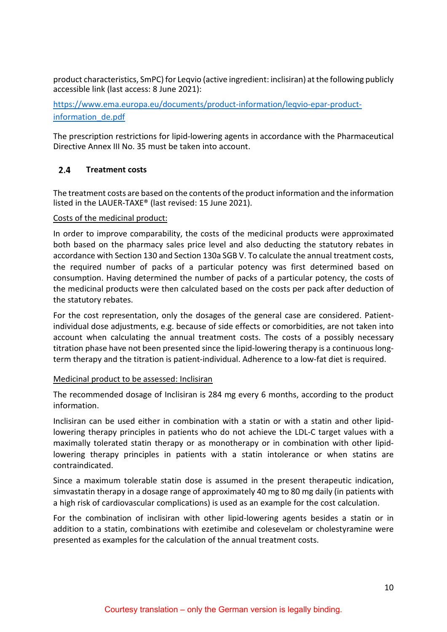product characteristics, SmPC) for Leqvio (active ingredient: inclisiran) at the following publicly accessible link (last access: 8 June 2021):

[https://www.ema.europa.eu/documents/product-information/leqvio-epar-product](https://www.ema.europa.eu/documents/product-information/leqvio-epar-product-information_de.pdf)[information\\_de.pdf](https://www.ema.europa.eu/documents/product-information/leqvio-epar-product-information_de.pdf)

The prescription restrictions for lipid-lowering agents in accordance with the Pharmaceutical Directive Annex III No. 35 must be taken into account.

#### <span id="page-9-0"></span> $2.4$ **Treatment costs**

The treatment costs are based on the contents of the product information and the information listed in the LAUER-TAXE® (last revised: 15 June 2021).

### Costs of the medicinal product:

In order to improve comparability, the costs of the medicinal products were approximated both based on the pharmacy sales price level and also deducting the statutory rebates in accordance with Section 130 and Section 130a SGB V. To calculate the annual treatment costs, the required number of packs of a particular potency was first determined based on consumption. Having determined the number of packs of a particular potency, the costs of the medicinal products were then calculated based on the costs per pack after deduction of the statutory rebates.

For the cost representation, only the dosages of the general case are considered. Patientindividual dose adjustments, e.g. because of side effects or comorbidities, are not taken into account when calculating the annual treatment costs. The costs of a possibly necessary titration phase have not been presented since the lipid-lowering therapy is a continuous longterm therapy and the titration is patient-individual. Adherence to a low-fat diet is required.

### Medicinal product to be assessed: Inclisiran

The recommended dosage of Inclisiran is 284 mg every 6 months, according to the product information.

Inclisiran can be used either in combination with a statin or with a statin and other lipidlowering therapy principles in patients who do not achieve the LDL-C target values with a maximally tolerated statin therapy or as monotherapy or in combination with other lipidlowering therapy principles in patients with a statin intolerance or when statins are contraindicated.

Since a maximum tolerable statin dose is assumed in the present therapeutic indication, simvastatin therapy in a dosage range of approximately 40 mg to 80 mg daily (in patients with a high risk of cardiovascular complications) is used as an example for the cost calculation.

For the combination of inclisiran with other lipid-lowering agents besides a statin or in addition to a statin, combinations with ezetimibe and colesevelam or cholestyramine were presented as examples for the calculation of the annual treatment costs.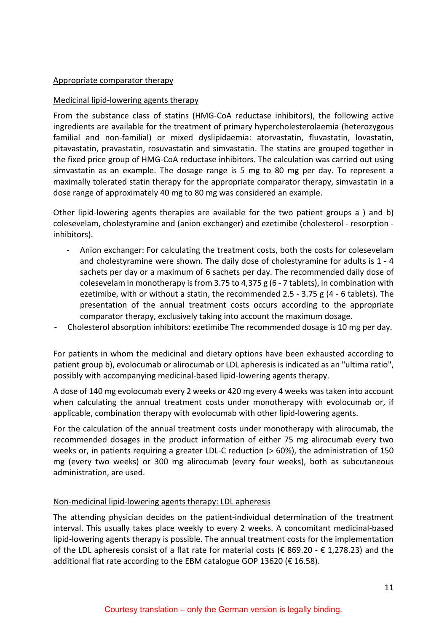### Appropriate comparator therapy

### Medicinal lipid-lowering agents therapy

From the substance class of statins (HMG-CoA reductase inhibitors), the following active ingredients are available for the treatment of primary hypercholesterolaemia (heterozygous familial and non-familial) or mixed dyslipidaemia: atorvastatin, fluvastatin, lovastatin, pitavastatin, pravastatin, rosuvastatin and simvastatin. The statins are grouped together in the fixed price group of HMG-CoA reductase inhibitors. The calculation was carried out using simvastatin as an example. The dosage range is 5 mg to 80 mg per day. To represent a maximally tolerated statin therapy for the appropriate comparator therapy, simvastatin in a dose range of approximately 40 mg to 80 mg was considered an example.

Other lipid-lowering agents therapies are available for the two patient groups a ) and b) colesevelam, cholestyramine and (anion exchanger) and ezetimibe (cholesterol - resorption inhibitors).

- Anion exchanger: For calculating the treatment costs, both the costs for colesevelam and cholestyramine were shown. The daily dose of cholestyramine for adults is 1 - 4 sachets per day or a maximum of 6 sachets per day. The recommended daily dose of colesevelam in monotherapy is from 3.75 to 4,375 g (6 - 7 tablets), in combination with ezetimibe, with or without a statin, the recommended 2.5 - 3.75 g  $(4 - 6$  tablets). The presentation of the annual treatment costs occurs according to the appropriate comparator therapy, exclusively taking into account the maximum dosage.
- Cholesterol absorption inhibitors: ezetimibe The recommended dosage is 10 mg per day.

For patients in whom the medicinal and dietary options have been exhausted according to patient group b), evolocumab or alirocumab or LDL apheresis is indicated as an "ultima ratio", possibly with accompanying medicinal-based lipid-lowering agents therapy.

A dose of 140 mg evolocumab every 2 weeks or 420 mg every 4 weeks was taken into account when calculating the annual treatment costs under monotherapy with evolocumab or, if applicable, combination therapy with evolocumab with other lipid-lowering agents.

For the calculation of the annual treatment costs under monotherapy with alirocumab, the recommended dosages in the product information of either 75 mg alirocumab every two weeks or, in patients requiring a greater LDL-C reduction (> 60%), the administration of 150 mg (every two weeks) or 300 mg alirocumab (every four weeks), both as subcutaneous administration, are used.

### Non-medicinal lipid-lowering agents therapy: LDL apheresis

The attending physician decides on the patient-individual determination of the treatment interval. This usually takes place weekly to every 2 weeks. A concomitant medicinal-based lipid-lowering agents therapy is possible. The annual treatment costs for the implementation of the LDL apheresis consist of a flat rate for material costs ( $\epsilon$  869.20 -  $\epsilon$  1,278.23) and the additional flat rate according to the EBM catalogue GOP 13620 (€ 16.58).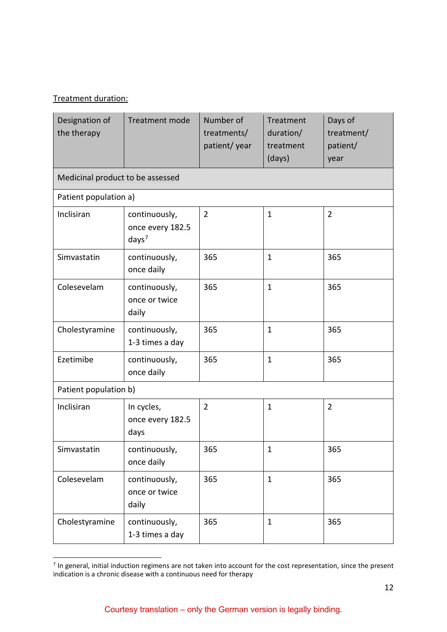# Treatment duration:

| Designation of<br>the therapy    | Treatment mode                                         | Number of<br>treatments/<br>patient/year | Treatment<br>duration/<br>treatment<br>(days) | Days of<br>treatment/<br>patient/<br>year |  |  |  |  |
|----------------------------------|--------------------------------------------------------|------------------------------------------|-----------------------------------------------|-------------------------------------------|--|--|--|--|
| Medicinal product to be assessed |                                                        |                                          |                                               |                                           |  |  |  |  |
|                                  | Patient population a)                                  |                                          |                                               |                                           |  |  |  |  |
| Inclisiran                       | continuously,<br>once every 182.5<br>days <sup>7</sup> | $\overline{2}$                           | $\mathbf{1}$                                  | $\overline{2}$                            |  |  |  |  |
| Simvastatin                      | continuously,<br>once daily                            | 365                                      | $\mathbf 1$                                   | 365                                       |  |  |  |  |
| Colesevelam                      | continuously,<br>once or twice<br>daily                | 365                                      | $\mathbf{1}$                                  | 365                                       |  |  |  |  |
| Cholestyramine                   | continuously,<br>1-3 times a day                       | 365                                      | $\mathbf{1}$                                  | 365                                       |  |  |  |  |
| Ezetimibe                        | continuously,<br>once daily                            | 365                                      | $\mathbf{1}$                                  | 365                                       |  |  |  |  |
| Patient population b)            |                                                        |                                          |                                               |                                           |  |  |  |  |
| Inclisiran                       | In cycles,<br>once every 182.5<br>days                 | $\overline{2}$                           | $\mathbf{1}$                                  | $\overline{2}$                            |  |  |  |  |
| Simvastatin                      | continuously,<br>once daily                            | 365                                      | $\mathbf 1$                                   | 365                                       |  |  |  |  |
| Colesevelam                      | continuously,<br>once or twice<br>daily                | 365                                      | $\mathbf{1}$                                  | 365                                       |  |  |  |  |
| Cholestyramine                   | continuously,<br>1-3 times a day                       | 365                                      | $\mathbf{1}$                                  | 365                                       |  |  |  |  |

<span id="page-11-0"></span>**THE SECTS IN A TE 10.**<br>The general, initial induction regimens are not taken into account for the cost representation, since the present indication is a chronic disease with a continuous need for therapy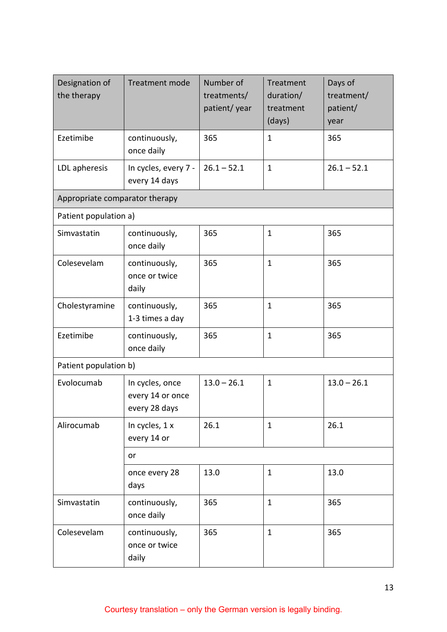| Designation of<br>the therapy  | <b>Treatment mode</b>                                | Number of<br>treatments/<br>patient/year | Treatment<br>duration/<br>treatment<br>(days) | Days of<br>treatment/<br>patient/<br>year |
|--------------------------------|------------------------------------------------------|------------------------------------------|-----------------------------------------------|-------------------------------------------|
| Ezetimibe                      | continuously,<br>once daily                          | 365                                      | $\mathbf{1}$                                  | 365                                       |
| LDL apheresis                  | In cycles, every 7 -<br>every 14 days                | $26.1 - 52.1$                            | $\mathbf{1}$                                  | $26.1 - 52.1$                             |
| Appropriate comparator therapy |                                                      |                                          |                                               |                                           |
| Patient population a)          |                                                      |                                          |                                               |                                           |
| Simvastatin                    | continuously,<br>once daily                          | 365                                      | $\mathbf{1}$                                  | 365                                       |
| Colesevelam                    | continuously,<br>once or twice<br>daily              | 365                                      | $\mathbf{1}$                                  | 365                                       |
| Cholestyramine                 | continuously,<br>1-3 times a day                     | 365                                      | $\mathbf 1$                                   | 365                                       |
| Ezetimibe                      | continuously,<br>once daily                          | 365                                      | $\mathbf{1}$                                  | 365                                       |
| Patient population b)          |                                                      |                                          |                                               |                                           |
| Evolocumab                     | In cycles, once<br>every 14 or once<br>every 28 days | $13.0 - 26.1$                            | $\mathbf{1}$                                  | $13.0 - 26.1$                             |
| Alirocumab                     | In cycles, 1 x<br>every 14 or                        | 26.1                                     | $\mathbf{1}$                                  | 26.1                                      |
|                                | or                                                   |                                          |                                               |                                           |
|                                | once every 28<br>days                                | 13.0                                     | $\mathbf{1}$                                  | 13.0                                      |
| Simvastatin                    | continuously,<br>once daily                          | 365                                      | $\mathbf{1}$                                  | 365                                       |
| Colesevelam                    | continuously,<br>once or twice<br>daily              | 365                                      | $\mathbf{1}$                                  | 365                                       |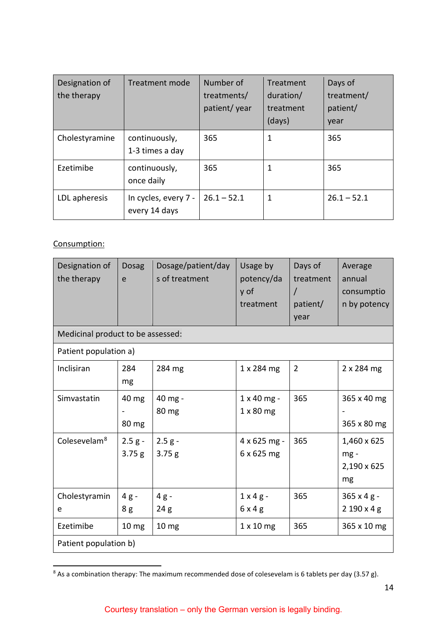| Designation of<br>the therapy | Treatment mode                        | Number of<br>treatments/<br>patient/ year | Treatment<br>duration/<br>treatment<br>(days) | Days of<br>treatment/<br>patient/<br>year |
|-------------------------------|---------------------------------------|-------------------------------------------|-----------------------------------------------|-------------------------------------------|
| Cholestyramine                | continuously,<br>1-3 times a day      | 365                                       | 1                                             | 365                                       |
| Ezetimibe                     | continuously,<br>once daily           | 365                                       |                                               | 365                                       |
| LDL apheresis                 | In cycles, every 7 -<br>every 14 days | $26.1 - 52.1$                             | 1                                             | $26.1 - 52.1$                             |

# Consumption:

| Designation of<br>the therapy     | <b>Dosag</b><br>e  | Dosage/patient/day<br>s of treatment | Usage by<br>potency/da<br>y of<br>treatment | Days of<br>treatment<br>$\prime$<br>patient/<br>year | Average<br>annual<br>consumptio<br>n by potency |
|-----------------------------------|--------------------|--------------------------------------|---------------------------------------------|------------------------------------------------------|-------------------------------------------------|
| Medicinal product to be assessed: |                    |                                      |                                             |                                                      |                                                 |
| Patient population a)             |                    |                                      |                                             |                                                      |                                                 |
| Inclisiran                        | 284<br>mg          | 284 mg                               | 1 x 284 mg                                  | $\overline{2}$                                       | 2 x 284 mg                                      |
| Simvastatin                       | 40 mg<br>80 mg     | 40 mg -<br>80 mg                     | 1 x 40 mg -<br>$1 \times 80$ mg             | 365                                                  | 365 x 40 mg<br>365 x 80 mg                      |
| Colesevelam <sup>8</sup>          | $2.5 g -$<br>3.75g | $2.5 g -$<br>3.75g                   | 4 x 625 mg -<br>6 x 625 mg                  | 365                                                  | 1,460 x 625<br>mg-<br>2,190 x 625<br>mg         |
| Cholestyramin<br>e                | $4g -$<br>8g       | $4g -$<br>24g                        | $1 \times 4$ g -<br>6x4g                    | 365                                                  | 365 x 4 g -<br>2 190 x 4 g                      |
| Ezetimibe                         | 10 <sub>mg</sub>   | 10 <sub>mg</sub>                     | $1 \times 10$ mg                            | 365                                                  | 365 x 10 mg                                     |
| Patient population b)             |                    |                                      |                                             |                                                      |                                                 |

<span id="page-13-1"></span><span id="page-13-0"></span> $8$  As a combination therapy: The maximum recommended dose of colesevelam is 6 tablets per day (3.57 g).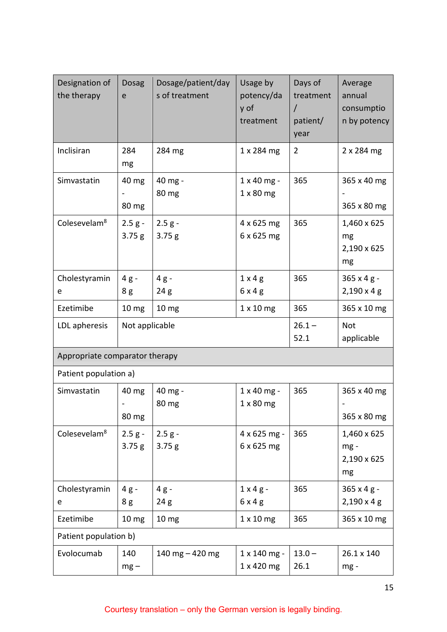| Designation of<br>the therapy  | <b>Dosag</b><br>e  | Dosage/patient/day<br>s of treatment | Usage by<br>potency/da<br>y of<br>treatment | Days of<br>treatment<br>$\prime$<br>patient/<br>year | Average<br>annual<br>consumptio<br>n by potency |
|--------------------------------|--------------------|--------------------------------------|---------------------------------------------|------------------------------------------------------|-------------------------------------------------|
| Inclisiran                     | 284<br>mg          | 284 mg                               | 1 x 284 mg                                  | $\overline{2}$                                       | 2 x 284 mg                                      |
| Simvastatin                    | 40 mg<br>80 mg     | 40 mg -<br>80 mg                     | 1 x 40 mg -<br>$1 \times 80$ mg             | 365                                                  | 365 x 40 mg<br>365 x 80 mg                      |
| Colesevelam <sup>8</sup>       | $2.5 g -$<br>3.75g | $2.5 g -$<br>3.75g                   | 4 x 625 mg<br>6 x 625 mg                    | 365                                                  | 1,460 x 625<br>mg<br>2,190 x 625<br>mg          |
| Cholestyramin                  | $4g -$             | $4g -$                               | $1 \times 4$ g                              | 365                                                  | $365 \times 4 g -$                              |
| e                              | 8g                 | 24g                                  | 6x4g                                        |                                                      | $2,190 \times 4$ g                              |
| Ezetimibe                      | 10 <sub>mg</sub>   | 10 <sub>mg</sub>                     | $1 \times 10$ mg                            | 365                                                  | 365 x 10 mg                                     |
| LDL apheresis                  | Not applicable     |                                      |                                             | $26.1 -$<br>52.1                                     | Not<br>applicable                               |
| Appropriate comparator therapy |                    |                                      |                                             |                                                      |                                                 |
| Patient population a)          |                    |                                      |                                             |                                                      |                                                 |
| Simvastatin                    | 40 mg<br>80 mg     | 40 mg -<br>80 mg                     | $1 \times 40$ mg -<br>$1 \times 80$ mg      | 365                                                  | 365 x 40 mg<br>365 x 80 mg                      |
| Colesevelam <sup>8</sup>       | $2.5 g -$<br>3.75g | $2.5 g -$<br>3.75 g                  | $4 \times 625$ mg -<br>6 x 625 mg           | 365                                                  | 1,460 x 625<br>mg-<br>2,190 x 625<br>mg         |
| Cholestyramin                  | $4g -$             | $4g -$                               | $1 \times 4$ g -                            | 365                                                  | $365 \times 4 g -$                              |
| e                              | 8g                 | 24g                                  | 6x4g                                        |                                                      | $2,190 \times 4 \text{ g}$                      |
| Ezetimibe                      | 10 mg              | 10 <sub>mg</sub>                     | $1 \times 10$ mg                            | 365                                                  | 365 x 10 mg                                     |
| Patient population b)          |                    |                                      |                                             |                                                      |                                                 |
| Evolocumab                     | 140<br>$mg -$      | 140 mg $-$ 420 mg                    | $1 \times 140$ mg -<br>1 x 420 mg           | $13.0 -$<br>26.1                                     | 26.1 x 140<br>mg-                               |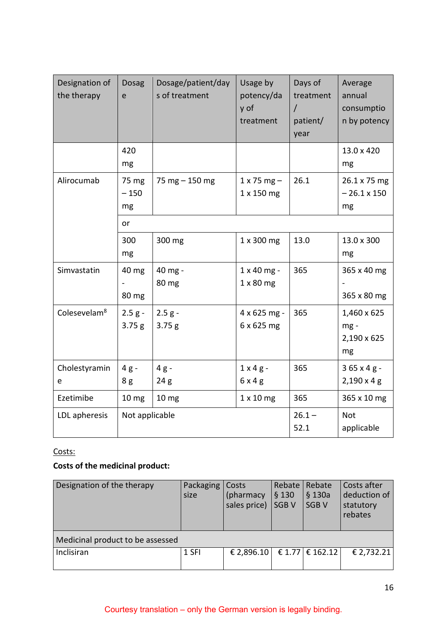| Designation of<br>the therapy | <b>Dosag</b><br>e     | Dosage/patient/day<br>s of treatment | Usage by<br>potency/da<br>y of<br>treatment | Days of<br>treatment<br>patient/<br>year | Average<br>annual<br>consumptio<br>n by potency |
|-------------------------------|-----------------------|--------------------------------------|---------------------------------------------|------------------------------------------|-------------------------------------------------|
|                               | 420<br>mg             |                                      |                                             |                                          | 13.0 x 420<br>mg                                |
| Alirocumab                    | 75 mg<br>$-150$<br>mg | 75 mg $-$ 150 mg                     | $1 x 75 mg -$<br>1 x 150 mg                 | 26.1                                     | 26.1 x 75 mg<br>$-26.1 \times 150$<br>mg        |
|                               | or                    |                                      |                                             |                                          |                                                 |
|                               | 300<br>mg             | 300 mg                               | 1 x 300 mg                                  | 13.0                                     | 13.0 x 300<br>mg                                |
| Simvastatin                   | 40 mg<br>80 mg        | 40 mg -<br>80 mg                     | $1 \times 40$ mg -<br>$1 \times 80$ mg      | 365                                      | 365 x 40 mg<br>365 x 80 mg                      |
| Colesevelam <sup>8</sup>      | $2.5 g -$<br>3.75g    | $2.5 g -$<br>3.75g                   | 4 x 625 mg -<br>6 x 625 mg                  | 365                                      | 1,460 x 625<br>$mg -$<br>2,190 x 625<br>mg      |
| Cholestyramin<br>e            | $4g -$<br>8g          | $4g -$<br>24 g                       | $1 \times 4$ g -<br>$6 \times 4$ g          | 365                                      | $365 \times 4g -$<br>2,190 x 4 g                |
| Ezetimibe                     | 10 mg                 | 10 mg                                | $1 \times 10$ mg                            | 365                                      | 365 x 10 mg                                     |
| LDL apheresis                 | Not applicable        |                                      |                                             | $26.1 -$<br>52.1                         | <b>Not</b><br>applicable                        |

# Costs:

# **Costs of the medicinal product:**

| Designation of the therapy       | Packaging<br>size | Costs<br>(pharmacy<br>sales price) | Rebate<br>§ 130<br><b>SGBV</b> | Rebate<br>$§$ 130a<br><b>SGBV</b> | Costs after<br>deduction of<br>statutory<br>rebates |  |  |
|----------------------------------|-------------------|------------------------------------|--------------------------------|-----------------------------------|-----------------------------------------------------|--|--|
| Medicinal product to be assessed |                   |                                    |                                |                                   |                                                     |  |  |
| Inclisiran                       | 1 SFI             | € 2,896.10                         |                                | € 1.77 $\in$ 162.12               | € 2,732.21                                          |  |  |
|                                  |                   |                                    |                                |                                   |                                                     |  |  |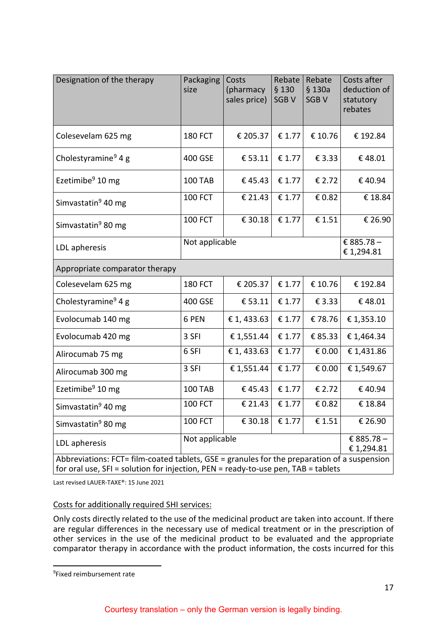<span id="page-16-0"></span>

| Designation of the therapy                                                                                                                                                       | Packaging<br>size | Costs<br>(pharmacy<br>sales price) | Rebate<br>\$130<br><b>SGBV</b> | Rebate<br>$§$ 130a<br><b>SGBV</b> | Costs after<br>deduction of<br>statutory<br>rebates |
|----------------------------------------------------------------------------------------------------------------------------------------------------------------------------------|-------------------|------------------------------------|--------------------------------|-----------------------------------|-----------------------------------------------------|
| Colesevelam 625 mg                                                                                                                                                               | <b>180 FCT</b>    | € 205.37                           | € 1.77                         | € 10.76                           | € 192.84                                            |
| Cholestyramine <sup>9</sup> 4 g                                                                                                                                                  | 400 GSE           | € 53.11                            | € 1.77                         | € 3.33                            | €48.01                                              |
| Ezetimibe $9$ 10 mg                                                                                                                                                              | <b>100 TAB</b>    | €45.43                             | € 1.77                         | € 2.72                            | €40.94                                              |
| Simvastatin <sup>9</sup> 40 mg                                                                                                                                                   | <b>100 FCT</b>    | € 21.43                            | € 1.77                         | € 0.82                            | € 18.84                                             |
| Simvastatin <sup>9</sup> 80 mg                                                                                                                                                   | <b>100 FCT</b>    | € 30.18                            | $\overline{\epsilon}$ 1.77     | $\overline{\epsilon}$ 1.51        | € 26.90                                             |
| LDL apheresis                                                                                                                                                                    | Not applicable    | € 885.78 -<br>€ 1,294.81           |                                |                                   |                                                     |
| Appropriate comparator therapy                                                                                                                                                   |                   |                                    |                                |                                   |                                                     |
| Colesevelam 625 mg                                                                                                                                                               | <b>180 FCT</b>    | € 205.37                           | € 1.77                         | € 10.76                           | € 192.84                                            |
| Cholestyramine <sup>9</sup> 4 g                                                                                                                                                  | 400 GSE           | € 53.11                            | € 1.77                         | € 3.33                            | €48.01                                              |
| Evolocumab 140 mg                                                                                                                                                                | 6 PEN             | € 1, 433.63                        | € 1.77                         | €78.76                            | € 1,353.10                                          |
| Evolocumab 420 mg                                                                                                                                                                | 3 SFI             | € 1,551.44                         | € 1.77                         | € 85.33                           | € 1,464.34                                          |
| Alirocumab 75 mg                                                                                                                                                                 | 6 SFI             | € 1, 433.63                        | € 1.77                         | € 0.00                            | €1,431.86                                           |
| Alirocumab 300 mg                                                                                                                                                                | 3 SFI             | €1,551.44                          | € 1.77                         | € 0.00                            | € 1,549.67                                          |
| Ezetimibe $9$ 10 mg                                                                                                                                                              | <b>100 TAB</b>    | €45.43                             | € 1.77                         | € 2.72                            | € 40.94                                             |
| Simvastatin <sup>9</sup> 40 mg                                                                                                                                                   | <b>100 FCT</b>    | $\overline{\epsilon}$ 21.43        | € 1.77                         | € 0.82                            | € 18.84                                             |
| Simvastatin <sup>9</sup> 80 mg                                                                                                                                                   | <b>100 FCT</b>    | € 30.18                            | € 1.77                         | € 1.51                            | € 26.90                                             |
| Not applicable<br>LDL apheresis                                                                                                                                                  |                   |                                    |                                |                                   | € 885.78 -<br>€ 1,294.81                            |
| Abbreviations: FCT= film-coated tablets, GSE = granules for the preparation of a suspension<br>for oral use, SFI = solution for injection, PEN = ready-to-use pen, TAB = tablets |                   |                                    |                                |                                   |                                                     |

Last revised LAUER-TAXE®: 15 June 2021

### Costs for additionally required SHI services:

Only costs directly related to the use of the medicinal product are taken into account. If there are regular differences in the necessary use of medical treatment or in the prescription of other services in the use of the medicinal product to be evaluated and the appropriate comparator therapy in accordance with the product information, the costs incurred for this

 $\mathbf{I}$ 

<span id="page-16-1"></span>ــ<br>9 <sup>9</sup>Fixed reimbursement rate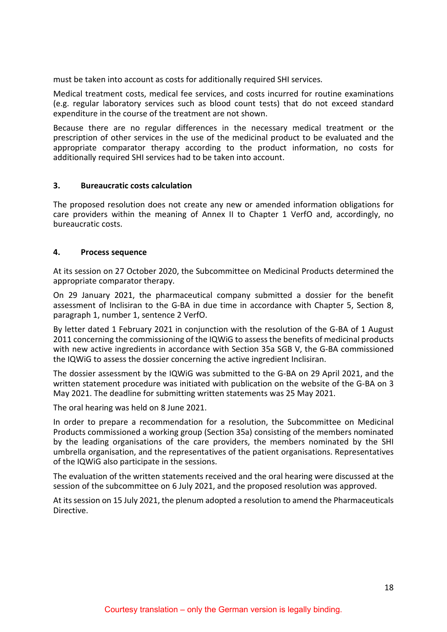must be taken into account as costs for additionally required SHI services.

Medical treatment costs, medical fee services, and costs incurred for routine examinations (e.g. regular laboratory services such as blood count tests) that do not exceed standard expenditure in the course of the treatment are not shown.

Because there are no regular differences in the necessary medical treatment or the prescription of other services in the use of the medicinal product to be evaluated and the appropriate comparator therapy according to the product information, no costs for additionally required SHI services had to be taken into account.

### <span id="page-17-0"></span>**3. Bureaucratic costs calculation**

The proposed resolution does not create any new or amended information obligations for care providers within the meaning of Annex II to Chapter 1 VerfO and, accordingly, no bureaucratic costs.

### <span id="page-17-1"></span>**4. Process sequence**

At its session on 27 October 2020, the Subcommittee on Medicinal Products determined the appropriate comparator therapy.

On 29 January 2021, the pharmaceutical company submitted a dossier for the benefit assessment of Inclisiran to the G-BA in due time in accordance with Chapter 5, Section 8, paragraph 1, number 1, sentence 2 VerfO.

By letter dated 1 February 2021 in conjunction with the resolution of the G-BA of 1 August 2011 concerning the commissioning of the IQWiG to assess the benefits of medicinal products with new active ingredients in accordance with Section 35a SGB V, the G-BA commissioned the IQWiG to assess the dossier concerning the active ingredient Inclisiran.

The dossier assessment by the IQWiG was submitted to the G-BA on 29 April 2021, and the written statement procedure was initiated with publication on the website of the G-BA on 3 May 2021. The deadline for submitting written statements was 25 May 2021.

The oral hearing was held on 8 June 2021.

In order to prepare a recommendation for a resolution, the Subcommittee on Medicinal Products commissioned a working group (Section 35a) consisting of the members nominated by the leading organisations of the care providers, the members nominated by the SHI umbrella organisation, and the representatives of the patient organisations. Representatives of the IQWiG also participate in the sessions.

The evaluation of the written statements received and the oral hearing were discussed at the session of the subcommittee on 6 July 2021, and the proposed resolution was approved.

At its session on 15 July 2021, the plenum adopted a resolution to amend the Pharmaceuticals Directive.